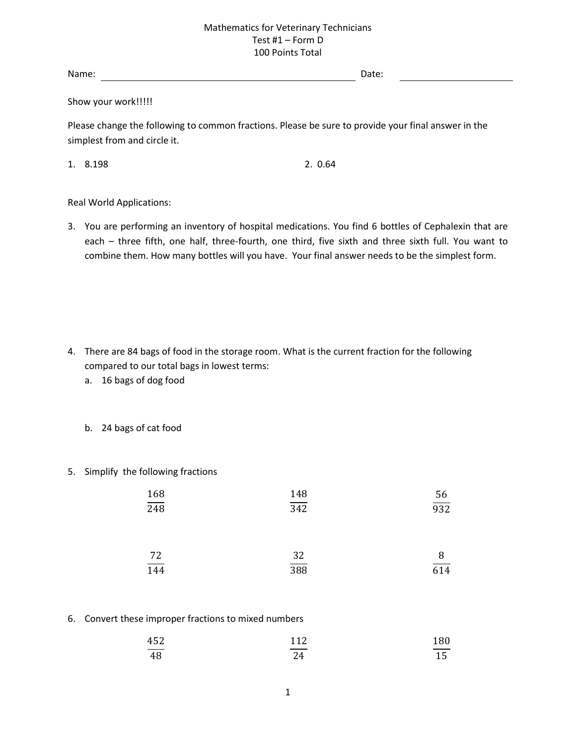Name: Date:

Show your work!!!!!

Please change the following to common fractions. Please be sure to provide your final answer in the simplest from and circle it.

1. 8.198 2. 0.64

Real World Applications:

3. You are performing an inventory of hospital medications. You find 6 bottles of Cephalexin that are each – three fifth, one half, three-fourth, one third, five sixth and three sixth full. You want to combine them. How many bottles will you have. Your final answer needs to be the simplest form.

- 4. There are 84 bags of food in the storage room. What is the current fraction for the following compared to our total bags in lowest terms:
	- a. 16 bags of dog food
	- b. 24 bags of cat food
- 5. Simplify the following fractions

| $\frac{168}{248}$ | 148<br>$\overline{342}$ | $\frac{56}{932}$ |
|-------------------|-------------------------|------------------|
|                   | 32                      |                  |
| $\frac{72}{144}$  | $\overline{388}$        | $\frac{8}{614}$  |

6. Convert these improper fractions to mixed numbers

| 452                      | 112                         | 180   |
|--------------------------|-----------------------------|-------|
| $\overline{\phantom{a}}$ | and the control of the con- | _____ |
| 48                       | 24                          | 15    |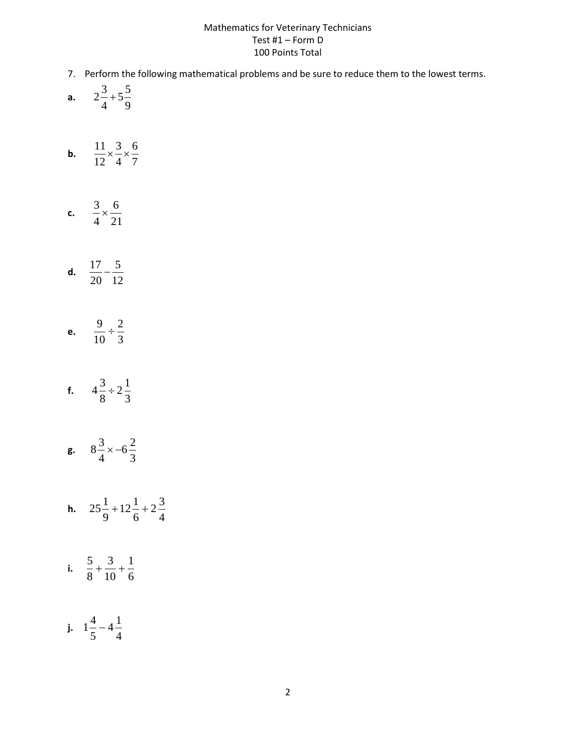- 7. Perform the following mathematical problems and be sure to reduce them to the lowest terms.
- **a.**  9  $5\frac{5}{7}$ 4  $2^{\frac{3}{2}+}$
- **b.**  7 6 4 3 12  $\frac{11}{12} \times \frac{3}{12} \times$
- **c.**  $\frac{2}{4} \times \frac{6}{21}$ 6 4  $\frac{3}{2}$
- **d.**  $\frac{11}{20} \frac{1}{12}$ 5 20  $\frac{17}{10}$  –
- **e.**  $\frac{1}{10} \div \frac{1}{3}$ 2 10  $\frac{9}{2}$  ÷
- **f.**  $4\frac{2}{8} \div 2\frac{1}{3}$  $2^{\frac{1}{2}}$ 8  $4\frac{3}{5}$  ÷
- **g.**  $8\frac{2}{4} \times -6\frac{2}{3}$  $6\frac{2}{3}$ 4  $8\frac{3}{4} \times -$
- **h.**  $25\frac{1}{9} + 12\frac{1}{6} + 2\frac{1}{4}$  $2\frac{3}{4}$ 6  $12\frac{1}{2}$ 9  $25\frac{1}{2}+12\frac{1}{2}+$
- i.  $\frac{2}{8} + \frac{1}{10} + \frac{1}{6}$ 1 10 3 8  $\frac{5}{2} + \frac{3}{12} +$
- **j.**  $1\frac{1}{5} 4\frac{1}{4}$  $4\frac{1}{4}$ 5  $1\frac{4}{1}$  –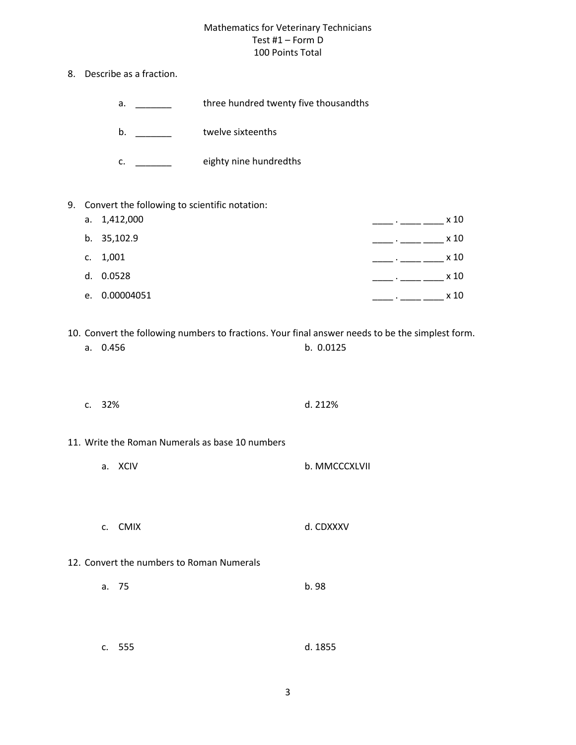- 8. Describe as a fraction.
	- a. \_\_\_\_\_\_\_\_ three hundred twenty five thousandths
	- b. \_\_\_\_\_\_\_\_\_ twelve sixteenths
	- c. \_\_\_\_\_\_\_\_ eighty nine hundredths
- 9. Convert the following to scientific notation:

| a. $1,412,000$ | x 10 |
|----------------|------|
| b. 35,102.9    | x 10 |
| c. $1,001$     | x 10 |
| d. 0.0528      | x 10 |
| e. 0.00004051  | x 10 |

10. Convert the following numbers to fractions. Your final answer needs to be the simplest form.

| b. 0.0125<br>a. 0.456 |  |
|-----------------------|--|
|-----------------------|--|

- c. 32% d. 212%
- 11. Write the Roman Numerals as base 10 numbers
	- a. XCIV b. MMCCCXLVII
	- c. CMIX d. CDXXXV
- 12. Convert the numbers to Roman Numerals
	- a. 75 b. 98
	- c. 555 d. 1855